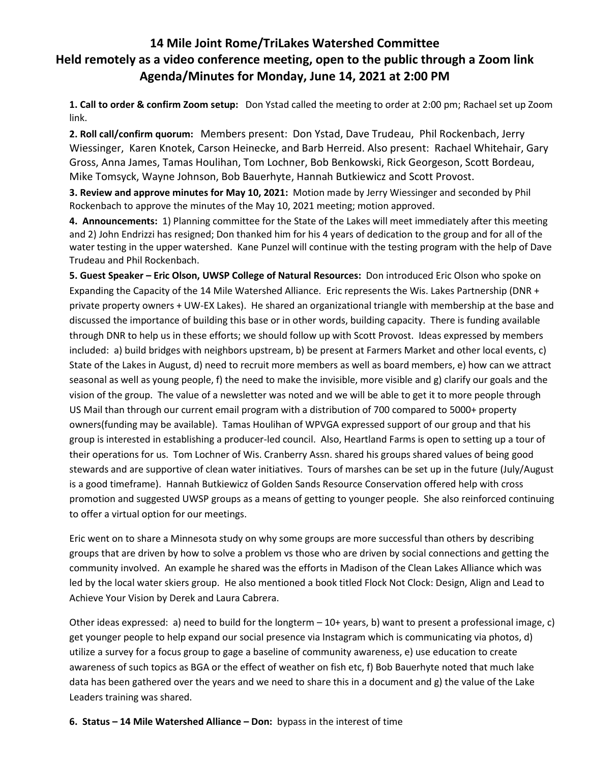# **14 Mile Joint Rome/TriLakes Watershed Committee Held remotely as a video conference meeting, open to the public through a Zoom link Agenda/Minutes for Monday, June 14, 2021 at 2:00 PM**

**1. Call to order & confirm Zoom setup:** Don Ystad called the meeting to order at 2:00 pm; Rachael set up Zoom link.

**2. Roll call/confirm quorum:** Members present: Don Ystad, Dave Trudeau, Phil Rockenbach, Jerry Wiessinger, Karen Knotek, Carson Heinecke, and Barb Herreid. Also present: Rachael Whitehair, Gary Gross, Anna James, Tamas Houlihan, Tom Lochner, Bob Benkowski, Rick Georgeson, Scott Bordeau, Mike Tomsyck, Wayne Johnson, Bob Bauerhyte, Hannah Butkiewicz and Scott Provost.

**3. Review and approve minutes for May 10, 2021:** Motion made by Jerry Wiessinger and seconded by Phil Rockenbach to approve the minutes of the May 10, 2021 meeting; motion approved.

**4. Announcements:** 1) Planning committee for the State of the Lakes will meet immediately after this meeting and 2) John Endrizzi has resigned; Don thanked him for his 4 years of dedication to the group and for all of the water testing in the upper watershed. Kane Punzel will continue with the testing program with the help of Dave Trudeau and Phil Rockenbach.

**5. Guest Speaker – Eric Olson, UWSP College of Natural Resources:** Don introduced Eric Olson who spoke on Expanding the Capacity of the 14 Mile Watershed Alliance. Eric represents the Wis. Lakes Partnership (DNR + private property owners + UW-EX Lakes). He shared an organizational triangle with membership at the base and discussed the importance of building this base or in other words, building capacity. There is funding available through DNR to help us in these efforts; we should follow up with Scott Provost. Ideas expressed by members included: a) build bridges with neighbors upstream, b) be present at Farmers Market and other local events, c) State of the Lakes in August, d) need to recruit more members as well as board members, e) how can we attract seasonal as well as young people, f) the need to make the invisible, more visible and g) clarify our goals and the vision of the group. The value of a newsletter was noted and we will be able to get it to more people through US Mail than through our current email program with a distribution of 700 compared to 5000+ property owners(funding may be available). Tamas Houlihan of WPVGA expressed support of our group and that his group is interested in establishing a producer-led council. Also, Heartland Farms is open to setting up a tour of their operations for us. Tom Lochner of Wis. Cranberry Assn. shared his groups shared values of being good stewards and are supportive of clean water initiatives. Tours of marshes can be set up in the future (July/August is a good timeframe). Hannah Butkiewicz of Golden Sands Resource Conservation offered help with cross promotion and suggested UWSP groups as a means of getting to younger people. She also reinforced continuing to offer a virtual option for our meetings.

Eric went on to share a Minnesota study on why some groups are more successful than others by describing groups that are driven by how to solve a problem vs those who are driven by social connections and getting the community involved. An example he shared was the efforts in Madison of the Clean Lakes Alliance which was led by the local water skiers group. He also mentioned a book titled Flock Not Clock: Design, Align and Lead to Achieve Your Vision by Derek and Laura Cabrera.

Other ideas expressed: a) need to build for the longterm – 10+ years, b) want to present a professional image, c) get younger people to help expand our social presence via Instagram which is communicating via photos, d) utilize a survey for a focus group to gage a baseline of community awareness, e) use education to create awareness of such topics as BGA or the effect of weather on fish etc, f) Bob Bauerhyte noted that much lake data has been gathered over the years and we need to share this in a document and g) the value of the Lake Leaders training was shared.